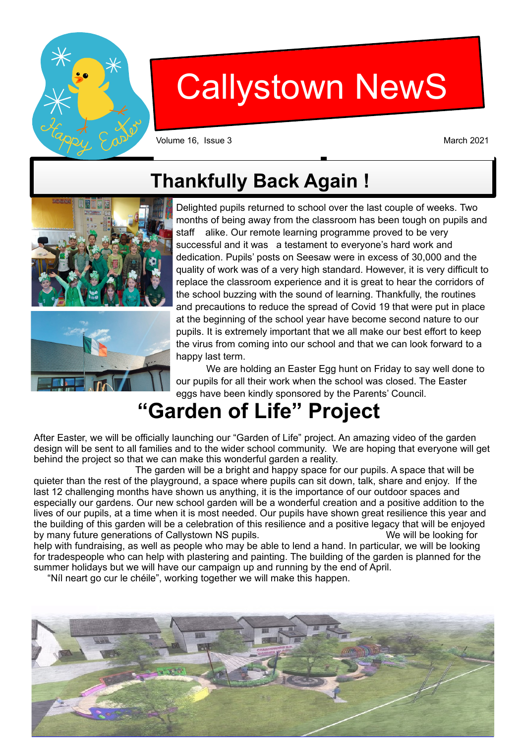

# Callystown NewS

Volume 16, Issue 3 March 2021

## **Thankfully Back Again !**



Delighted pupils returned to school over the last couple of weeks. Two months of being away from the classroom has been tough on pupils and staff alike. Our remote learning programme proved to be very successful and it was a testament to everyone's hard work and dedication. Pupils' posts on Seesaw were in excess of 30,000 and the quality of work was of a very high standard. However, it is very difficult to replace the classroom experience and it is great to hear the corridors of the school buzzing with the sound of learning. Thankfully, the routines and precautions to reduce the spread of Covid 19 that were put in place at the beginning of the school year have become second nature to our pupils. It is extremely important that we all make our best effort to keep the virus from coming into our school and that we can look forward to a happy last term.

 We are holding an Easter Egg hunt on Friday to say well done to our pupils for all their work when the school was closed. The Easter eggs have been kindly sponsored by the Parents' Council.

## **"Garden of Life" Project**

After Easter, we will be officially launching our "Garden of Life" project. An amazing video of the garden design will be sent to all families and to the wider school community. We are hoping that everyone will get behind the project so that we can make this wonderful garden a reality.

 The garden will be a bright and happy space for our pupils. A space that will be quieter than the rest of the playground, a space where pupils can sit down, talk, share and enjoy. If the last 12 challenging months have shown us anything, it is the importance of our outdoor spaces and especially our gardens. Our new school garden will be a wonderful creation and a positive addition to the lives of our pupils, at a time when it is most needed. Our pupils have shown great resilience this year and the building of this garden will be a celebration of this resilience and a positive legacy that will be enjoyed by many future generations of Callystown NS pupils. We will be looking for help with fundraising, as well as people who may be able to lend a hand. In particular, we will be looking for tradespeople who can help with plastering and painting. The building of the garden is planned for the summer holidays but we will have our campaign up and running by the end of April.

"Níl neart go cur le chéile", working together we will make this happen.